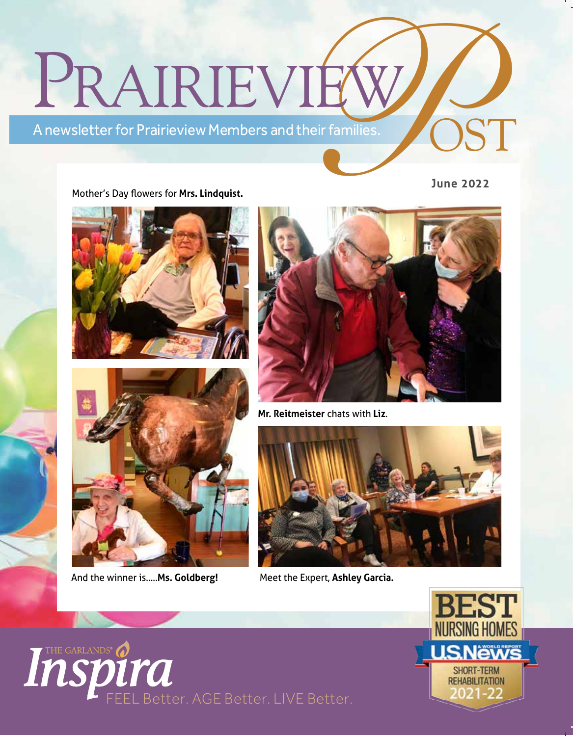# PRAIRIEVI **PIEW**<br>and their families. ST

A newsletter for Prairieview Members and their families.

#### Mother's Day flowers for **Mrs. Lindquist.**

**June 2022**





And the winner is.....**Ms. Goldberg!**

Inspirate



**Mr. Reitmeister** chats with **Liz**.



Meet the Expert, **Ashley Garcia.**

Better. AGE Better. LIVE Better.

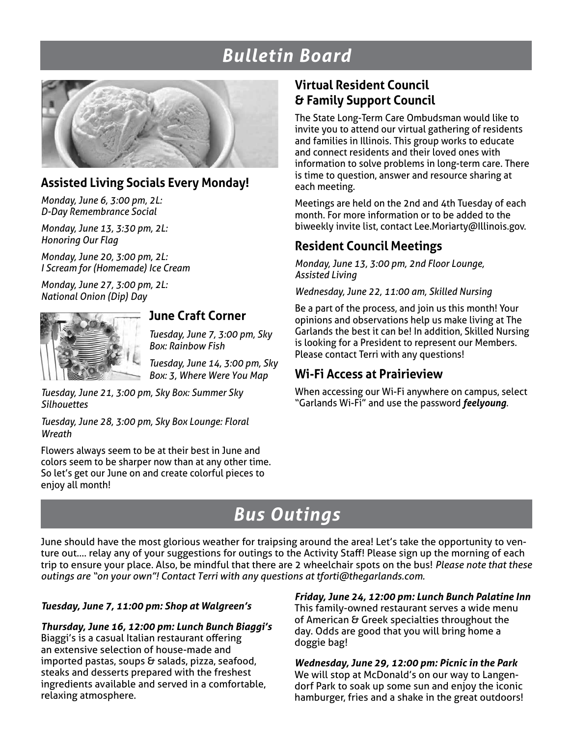# *Bulletin Board*



### **Assisted Living Socials Every Monday!**

*Monday, June 6, 3:00 pm, 2L: D-Day Remembrance Social*

*Monday, June 13, 3:30 pm, 2L: Honoring Our Flag*

*Monday, June 20, 3:00 pm, 2L: I Scream for (Homemade) Ice Cream* 

*Monday, June 27, 3:00 pm, 2L: National Onion (Dip) Day*



## **June Craft Corner**

*Tuesday, June 7, 3:00 pm, Sky Box: Rainbow Fish*

*Tuesday, June 14, 3:00 pm, Sky Box: 3, Where Were You Map*

*Tuesday, June 21, 3:00 pm, Sky Box: Summer Sky Silhouettes*

*Tuesday, June 28, 3:00 pm, Sky Box Lounge: Floral Wreath*

Flowers always seem to be at their best in June and colors seem to be sharper now than at any other time. So let's get our June on and create colorful pieces to enjoy all month!

## **Virtual Resident Council & Family Support Council**

The State Long-Term Care Ombudsman would like to invite you to attend our virtual gathering of residents and families in Illinois. This group works to educate and connect residents and their loved ones with information to solve problems in long-term care. There is time to question, answer and resource sharing at each meeting.

Meetings are held on the 2nd and 4th Tuesday of each month. For more information or to be added to the biweekly invite list, contact Lee.Moriarty@Illinois.gov.

## **Resident Council Meetings**

*Monday, June 13, 3:00 pm, 2nd Floor Lounge, Assisted Living*

*Wednesday, June 22, 11:00 am, Skilled Nursing*

Be a part of the process, and join us this month! Your opinions and observations help us make living at The Garlands the best it can be! In addition, Skilled Nursing is looking for a President to represent our Members. Please contact Terri with any questions!

## **Wi-Fi Access at Prairieview**

When accessing our Wi-Fi anywhere on campus, select "Garlands Wi-Fi" and use the password *feelyoung*.

# *Bus Outings*

June should have the most glorious weather for traipsing around the area! Let's take the opportunity to venture out…. relay any of your suggestions for outings to the Activity Staff! Please sign up the morning of each trip to ensure your place. Also, be mindful that there are 2 wheelchair spots on the bus! *Please note that these outings are "on your own"! Contact Terri with any questions at tforti@thegarlands.com.* 

#### *Tuesday, June 7, 11:00 pm: Shop at Walgreen's*

*Thursday, June 16, 12:00 pm: Lunch Bunch Biaggi's* Biaggi's is a casual Italian restaurant offering an extensive selection of house-made and imported pastas, soups & salads, pizza, seafood, steaks and desserts prepared with the freshest ingredients available and served in a comfortable, relaxing atmosphere.

*Friday, June 24, 12:00 pm: Lunch Bunch Palatine Inn* This family-owned restaurant serves a wide menu of American & Greek specialties throughout the day. Odds are good that you will bring home a doggie bag!

*Wednesday, June 29, 12:00 pm: Picnic in the Park* We will stop at McDonald's on our way to Langendorf Park to soak up some sun and enjoy the iconic hamburger, fries and a shake in the great outdoors!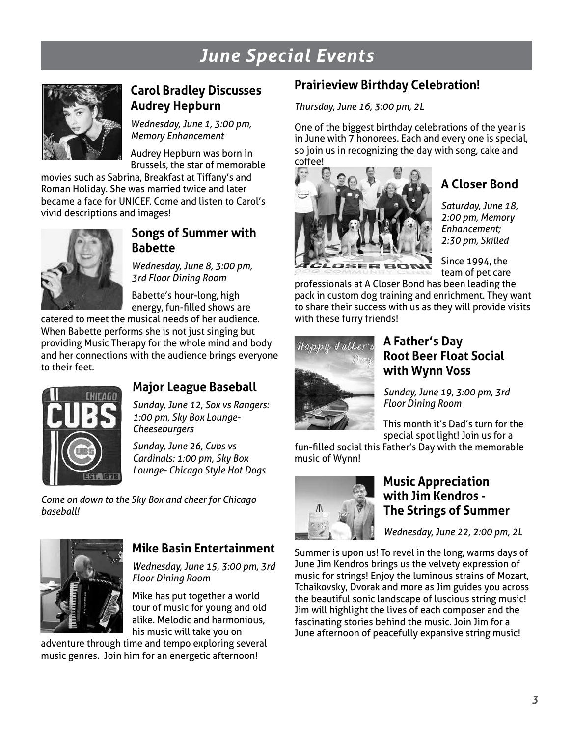# *June Special Events*



## **Carol Bradley Discusses Audrey Hepburn**

*Wednesday, June 1, 3:00 pm, Memory Enhancement*

Audrey Hepburn was born in Brussels, the star of memorable

movies such as Sabrina, Breakfast at Tiffany's and Roman Holiday. She was married twice and later became a face for UNICEF. Come and listen to Carol's vivid descriptions and images!



## **Songs of Summer with Babette**

*Wednesday, June 8, 3:00 pm, 3rd Floor Dining Room*

Babette's hour-long, high energy, fun-filled shows are

catered to meet the musical needs of her audience. When Babette performs she is not just singing but providing Music Therapy for the whole mind and body and her connections with the audience brings everyone to their feet.



## **Major League Baseball**

*Sunday, June 12, Sox vs Rangers: 1:00 pm, Sky Box Lounge-Cheeseburgers*

*Sunday, June 26, Cubs vs Cardinals: 1:00 pm, Sky Box Lounge- Chicago Style Hot Dogs*

*Come on down to the Sky Box and cheer for Chicago baseball!*



### **Mike Basin Entertainment**

*Wednesday, June 15, 3:00 pm, 3rd Floor Dining Room*

Mike has put together a world tour of music for young and old alike. Melodic and harmonious, his music will take you on

adventure through time and tempo exploring several music genres. Join him for an energetic afternoon!

# **Prairieview Birthday Celebration!**

*Thursday, June 16, 3:00 pm, 2L*

One of the biggest birthday celebrations of the year is in June with 7 honorees. Each and every one is special, so join us in recognizing the day with song, cake and coffee!



# **A Closer Bond**

*Saturday, June 18, 2:00 pm, Memory Enhancement; 2:30 pm, Skilled* 

Since 1994, the team of pet care

professionals at A Closer Bond has been leading the pack in custom dog training and enrichment. They want to share their success with us as they will provide visits with these furry friends!



### **A Father's Day Root Beer Float Social with Wynn Voss**

*Sunday, June 19, 3:00 pm, 3rd Floor Dining Room*

This month it's Dad's turn for the special spot light! Join us for a

fun-filled social this Father's Day with the memorable music of Wynn!



#### **Music Appreciation with Jim Kendros - The Strings of Summer**

*Wednesday, June 22, 2:00 pm, 2L*

Summer is upon us! To revel in the long, warms days of June Jim Kendros brings us the velvety expression of music for strings! Enjoy the luminous strains of Mozart, Tchaikovsky, Dvorak and more as Jim guides you across the beautiful sonic landscape of luscious string music! Jim will highlight the lives of each composer and the fascinating stories behind the music. Join Jim for a June afternoon of peacefully expansive string music!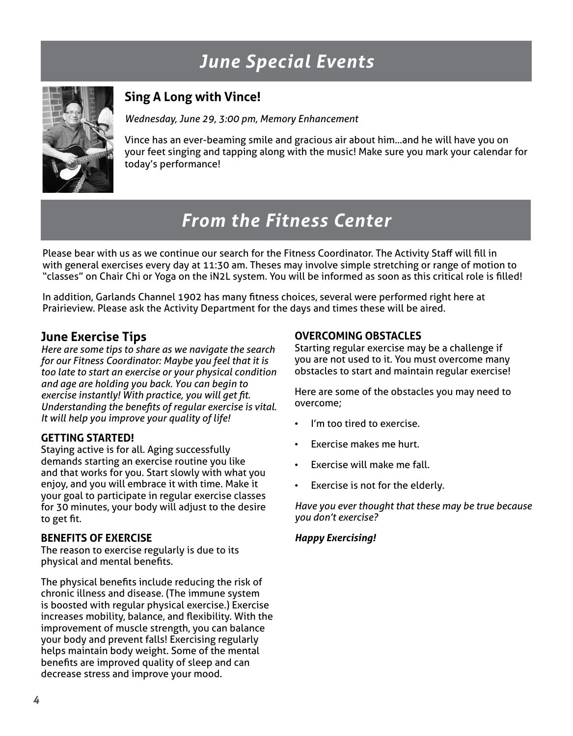# *June Special Events*



## **Sing A Long with Vince!**

*Wednesday, June 29, 3:00 pm, Memory Enhancement*

Vince has an ever-beaming smile and gracious air about him…and he will have you on your feet singing and tapping along with the music! Make sure you mark your calendar for today's performance!

# *From the Fitness Center*

Please bear with us as we continue our search for the Fitness Coordinator. The Activity Staff will fill in with general exercises every day at 11:30 am. Theses may involve simple stretching or range of motion to "classes" on Chair Chi or Yoga on the iN2L system. You will be informed as soon as this critical role is filled!

In addition, Garlands Channel 1902 has many fitness choices, several were performed right here at Prairieview. Please ask the Activity Department for the days and times these will be aired.

#### **June Exercise Tips**

*Here are some tips to share as we navigate the search for our Fitness Coordinator: Maybe you feel that it is too late to start an exercise or your physical condition and age are holding you back. You can begin to exercise instantly! With practice, you will get fit. Understanding the benefits of regular exercise is vital. It will help you improve your quality of life!*

#### **GETTING STARTED!**

Staying active is for all. Aging successfully demands starting an exercise routine you like and that works for you. Start slowly with what you enjoy, and you will embrace it with time. Make it your goal to participate in regular exercise classes for 30 minutes, your body will adjust to the desire to get fit.

#### **BENEFITS OF EXERCISE**

The reason to exercise regularly is due to its physical and mental benefits.

The physical benefits include reducing the risk of chronic illness and disease. (The immune system is boosted with regular physical exercise.) Exercise increases mobility, balance, and flexibility. With the improvement of muscle strength, you can balance your body and prevent falls! Exercising regularly helps maintain body weight. Some of the mental benefits are improved quality of sleep and can decrease stress and improve your mood.

#### **OVERCOMING OBSTACLES**

Starting regular exercise may be a challenge if you are not used to it. You must overcome many obstacles to start and maintain regular exercise!

Here are some of the obstacles you may need to overcome;

- I'm too tired to exercise.
- Exercise makes me hurt.
- Exercise will make me fall.
- Exercise is not for the elderly.

*Have you ever thought that these may be true because you don't exercise?*

#### *Happy Exercising!*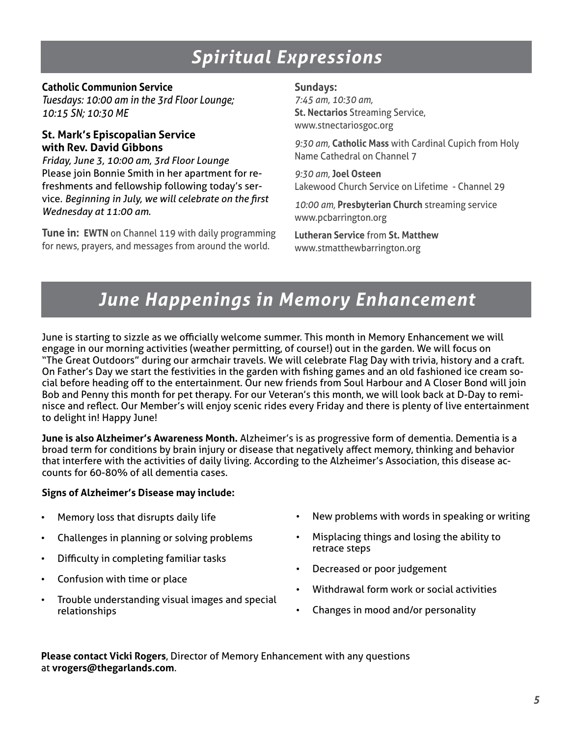# *Spiritual Expressions*

#### **Catholic Communion Service**

*Tuesdays: 10:00 am in the 3rd Floor Lounge; 10:15 SN; 10:30 ME* 

#### **St. Mark's Episcopalian Service with Rev. David Gibbons**

*Friday, June 3, 10:00 am, 3rd Floor Lounge* Please join Bonnie Smith in her apartment for refreshments and fellowship following today's service. *Beginning in July, we will celebrate on the first Wednesday at 11:00 am.*

**Tune in: EWTN** on Channel 119 with daily programming for news, prayers, and messages from around the world.

#### **Sundays:**

*7:45 am, 10:30 am,* **St. Nectarios** Streaming Service, www.stnectariosgoc.org

*9:30 am,* **Catholic Mass** with Cardinal Cupich from Holy Name Cathedral on Channel 7

*9:30 am,* **Joel Osteen** Lakewood Church Service on Lifetime - Channel 29

*10:00 am,* **Presbyterian Church** streaming service www.pcbarrington.org

**Lutheran Service** from **St. Matthew** www.stmatthewbarrington.org

# *June Happenings in Memory Enhancement*

June is starting to sizzle as we officially welcome summer. This month in Memory Enhancement we will engage in our morning activities (weather permitting, of course!) out in the garden. We will focus on "The Great Outdoors" during our armchair travels. We will celebrate Flag Day with trivia, history and a craft. On Father's Day we start the festivities in the garden with fishing games and an old fashioned ice cream social before heading off to the entertainment. Our new friends from Soul Harbour and A Closer Bond will join Bob and Penny this month for pet therapy. For our Veteran's this month, we will look back at D-Day to reminisce and reflect. Our Member's will enjoy scenic rides every Friday and there is plenty of live entertainment to delight in! Happy June!

**June is also Alzheimer's Awareness Month.** Alzheimer's is as progressive form of dementia. Dementia is a broad term for conditions by brain injury or disease that negatively affect memory, thinking and behavior that interfere with the activities of daily living. According to the Alzheimer's Association, this disease accounts for 60-80% of all dementia cases.

#### **Signs of Alzheimer's Disease may include:**

- Memory loss that disrupts daily life
- Challenges in planning or solving problems
- Difficulty in completing familiar tasks
- Confusion with time or place
- Trouble understanding visual images and special relationships
- New problems with words in speaking or writing
- Misplacing things and losing the ability to retrace steps
- Decreased or poor judgement
- Withdrawal form work or social activities
- Changes in mood and/or personality

**Please contact Vicki Rogers**, Director of Memory Enhancement with any questions at **vrogers@thegarlands.com**.